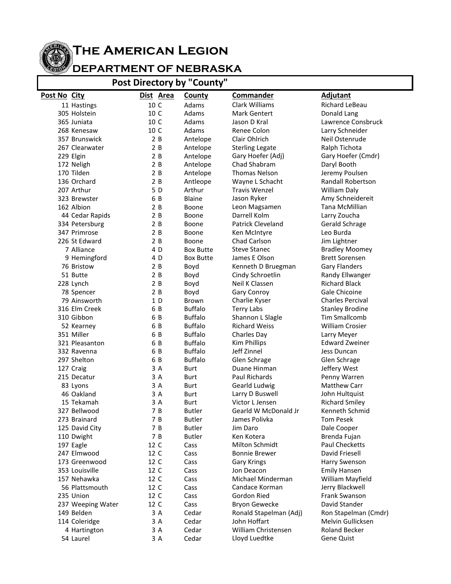## **The American Legion**

## **DEPARTMENT OF NEBRASKA**

**Post Directory by "County"**

| <b>OSC DIFECTORY MY</b><br><b>COMILY</b> |                               |              |                  |                          |                                  |
|------------------------------------------|-------------------------------|--------------|------------------|--------------------------|----------------------------------|
| Post No City                             |                               | Dist Area    | <b>County</b>    | <b>Commander</b>         | <b>Adjutant</b>                  |
|                                          | 11 Hastings                   | 10 C         | Adams            | Clark Williams           | Richard LeBeau                   |
|                                          | 305 Holstein                  | 10 C         | Adams            | <b>Mark Gentert</b>      | Donald Lang                      |
|                                          | 365 Juniata                   | 10 C         | Adams            | Jason D Kral             | Lawrence Consbruck               |
|                                          | 268 Kenesaw                   | 10 C         | Adams            | Renee Colon              | Larry Schneider                  |
|                                          | 357 Brunswick                 | 2B           | Antelope         | Clair Ohlrich            | Neil Ostenrude                   |
|                                          | 267 Clearwater                | 2B           | Antelope         | <b>Sterling Legate</b>   | Ralph Tichota                    |
|                                          | 229 Elgin                     | 2B           | Antelope         | Gary Hoefer (Adj)        | Gary Hoefer (Cmdr)               |
|                                          | 172 Neligh                    | 2B           | Antelope         | Chad Shabram             | Daryl Booth                      |
|                                          | 170 Tilden                    | 2B           | Antelope         | <b>Thomas Nelson</b>     | Jeremy Poulsen                   |
|                                          | 136 Orchard                   | 2B           | Antleope         | Wayne L Schacht          | <b>Randall Robertson</b>         |
|                                          | 207 Arthur                    | 5 D          | Arthur           | <b>Travis Wenzel</b>     | William Daly                     |
|                                          | 323 Brewster                  | 6 B          | <b>Blaine</b>    | Jason Ryker              | Amy Schneidereit                 |
|                                          | 162 Albion                    | 2B           | Boone            | Leon Magsamen            | Tana McMillian                   |
|                                          | 44 Cedar Rapids               | 2B           | Boone            | Darrell Kolm             | Larry Zoucha                     |
|                                          | 334 Petersburg                | 2B           | Boone            | <b>Patrick Cleveland</b> | Gerald Schrage                   |
|                                          | 347 Primrose                  | 2B           | Boone            | Ken McIntyre             | Leo Burda                        |
|                                          | 226 St Edward                 | 2B           | Boone            | Chad Carlson             | Jim Lightner                     |
|                                          | 7 Alliance                    | 4 D          | <b>Box Butte</b> | <b>Steve Stanec</b>      | <b>Bradley Moomey</b>            |
|                                          | 9 Hemingford                  | 4 D          | <b>Box Butte</b> | James E Olson            | <b>Brett Sorensen</b>            |
|                                          | 76 Bristow                    | 2B           | Boyd             | Kenneth D Bruegman       | <b>Gary Flanders</b>             |
|                                          | 51 Butte                      | 2B           | Boyd             | Cindy Schroetlin         | Randy Ellwanger                  |
|                                          | 228 Lynch                     | 2B           | Boyd             | Neil K Classen           | <b>Richard Black</b>             |
|                                          | 78 Spencer                    | 2B           | Boyd             | Gary Conroy              | Gale Chicoine                    |
|                                          | 79 Ainsworth                  | 1D           | Brown            | Charlie Kyser            | Charles Percival                 |
|                                          | 316 Elm Creek                 | 6 B          | <b>Buffalo</b>   | <b>Terry Labs</b>        | <b>Stanley Brodine</b>           |
|                                          | 310 Gibbon                    | 6 B          | <b>Buffalo</b>   | Shannon L Slagle         | <b>Tim Smallcomb</b>             |
|                                          | 52 Kearney                    | 6 B          | <b>Buffalo</b>   | <b>Richard Weiss</b>     | <b>William Crosier</b>           |
|                                          | 351 Miller                    | 6 B          | <b>Buffalo</b>   | Charles Day              | Larry Meyer                      |
|                                          | 321 Pleasanton                | 6 B          | <b>Buffalo</b>   | <b>Kim Phillips</b>      | <b>Edward Zweiner</b>            |
|                                          | 332 Ravenna                   | 6 B          | <b>Buffalo</b>   | Jeff Zinnel              | Jess Duncan                      |
|                                          | 297 Shelton                   | 6 B          | <b>Buffalo</b>   | Glen Schrage             | Glen Schrage                     |
|                                          | 127 Craig                     | 3A           | <b>Burt</b>      | Duane Hinman             | Jeffery West                     |
|                                          | 215 Decatur                   | 3 A          | <b>Burt</b>      | Paul Richards            | Penny Warren                     |
|                                          | 83 Lyons                      | 3 A          | Burt             | Gearld Ludwig            | <b>Matthew Carr</b>              |
|                                          | 46 Oakland                    | 3 A          | <b>Burt</b>      | Larry D Buswell          | John Hultquist                   |
|                                          | 15 Tekamah                    | 3 A          | <b>Burt</b>      | Victor L Jensen          | <b>Richard Smiley</b>            |
|                                          | 327 Bellwood                  | 7 B          | <b>Butler</b>    | Gearld W McDonald Jr     | Kenneth Schmid                   |
|                                          | 273 Brainard                  | 7 B          | <b>Butler</b>    | James Polivka            | Tom Pesek                        |
|                                          | 125 David City                | 7 B          | <b>Butler</b>    | Jim Daro                 | Dale Cooper                      |
|                                          | 110 Dwight                    | 7 B          | <b>Butler</b>    | Ken Kotera               | Brenda Fujan                     |
|                                          | 197 Eagle                     | 12 C         | Cass             | Milton Schmidt           | Paul Checketts                   |
|                                          | 247 Elmwood                   | 12 C         | Cass             | <b>Bonnie Brewer</b>     | David Friesell                   |
|                                          | 173 Greenwood                 | 12 C         | Cass             | <b>Gary Krings</b>       | Harry Swenson                    |
|                                          | 353 Louisville                | 12 C         | Cass             | Jon Deacon               | <b>Emily Hansen</b>              |
|                                          | 157 Nehawka<br>56 Plattsmouth | 12 C         | Cass             | Michael Minderman        | William Mayfield                 |
|                                          |                               | 12 C         | Cass             | Candace Korman           | Jerry Blackwell<br>Frank Swanson |
|                                          | 235 Union                     | 12 C<br>12 C | Cass             | Gordon Ried              | David Stander                    |
|                                          | 237 Weeping Water             |              | Cass             | <b>Bryon Gewecke</b>     |                                  |
|                                          | 149 Belden                    | 3 A          | Cedar            | Ronald Stapelman (Adj)   | Ron Stapelman (Cmdr)             |
|                                          | 114 Coleridge                 | 3 A          | Cedar            | John Hoffart             | Melvin Gullicksen                |
|                                          | 4 Hartington                  | 3 A          | Cedar            | William Christensen      | Roland Becker                    |
|                                          | 54 Laurel                     | 3 A          | Cedar            | Lloyd Luedtke            | Gene Quist                       |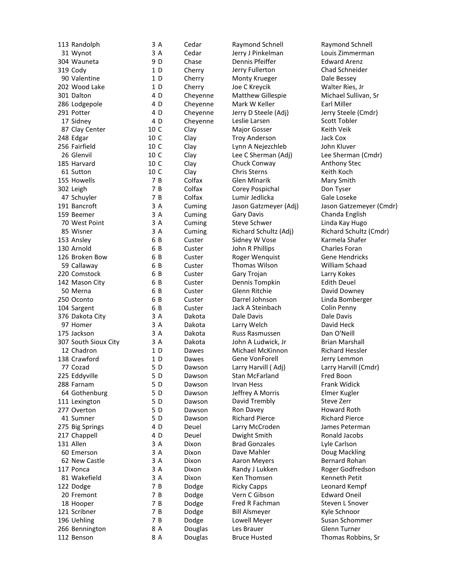| 113 Randolph         | 3 A            | Ce  |
|----------------------|----------------|-----|
| 31 Wynot             | 3 A            | Сe  |
| 304 Wauneta          | 9 D            | Ch  |
| 319 Cody             | 1 <sub>D</sub> | Ch  |
| 90 Valentine         | 1D             | Ch  |
| 202 Wood Lake        | 1D             | Ch  |
| 301 Dalton           | 4 D            | Ch  |
| 286 Lodgepole        | 4 D            | Ch  |
| 291 Potter           | 4 D            | Ch  |
| 17 Sidney            | 4 D            | Ch  |
|                      | 10 C           | Cla |
| 87 Clay Center       |                |     |
| 248 Edgar            | 10 C           | Cla |
| 256 Fairfield        | 10 C           | Cla |
| 26 Glenvil           | 10 C           | Cla |
| 185 Harvard          | 10 C           | Cla |
| 61 Sutton            | 10 C           | Cla |
| 155 Howells          | 7B             | Co  |
| 302 Leigh            | 7B             | Co  |
| 47 Schuyler          | 7 B            | Co  |
| 191 Bancroft         | 3 A            | Cu  |
| 159 Beemer           | 3 A            | Cu  |
| 70 West Point        | 3A             | Cu  |
| 85 Wisner            | 3A             | Cu  |
| 153 Ansley           | 6 B            | Cu  |
| 130 Arnold           | 6 B            | Cu  |
| 126 Broken Bow       | 6 B            | Cu  |
| 59 Callaway          | 6 B            | Cu  |
| 220 Comstock         | 6 B            | Cu  |
|                      | 6<br>B         | Cu  |
| 142 Mason City       |                |     |
| 50 Merna             | 6<br>B         | Cu  |
| 250 Oconto           | 6<br>B         | Cu  |
| 104 Sargent          | 6 B            | Cu  |
| 376 Dakota City      | 3 A            | Da  |
| 97 Homer             | 3 A            | Da  |
| 175 Jackson          | 3 A            | Da  |
| 307 South Sioux City | 3A             | Da  |
| 12 Chadron           | 1D             | Da  |
| 138 Crawford         | 1D             | Da  |
| 77 Cozad             | 5D             | Da  |
| 225 Eddyville        | 5D             | Da  |
| 288 Farnam           | 5 D            | Da  |
| 64 Gothenburg        | 5D             | Da  |
| 111 Lexington        | 5D             | Da  |
| 277 Overton          | 5 D            | Da  |
| 41 Sumner            | 5D             | Da  |
| 275 Big Springs      | 4 D            | De  |
| 217 Chappell         | 4 D            | De  |
|                      | 3A             |     |
| 131 Allen            |                | Di  |
| 60 Emerson           | 3 A            | Di  |
| 62 New Castle        | 3 A            | Di  |
| 117 Ponca            | 3 A            | Di  |
| 81 Wakefield         | 3 A            | Di  |
| 122 Dodge            | 7 B            | Do  |
| 20 Fremont           | 7 B            | Do  |
| 18 Hooper            | 7B             | Do  |
| 121 Scribner         | 7B             | Do  |
| 196 Uehling          | 7 B            | Do  |
| 266 Bennington       | 8 A            | Do  |
| 112 Benson           | 8 A            | Do  |
|                      |                |     |

dar Raymond Schnell Raymond Schnell dar a Jerry J Pinkelman **Louis Zimmerman** ase **Dennis Pfeiffer Edward Arenz** erry Jerry Fullerton Chad Schneider erry Monty Krueger **Dale Bessey** erry Joe C Kreycik Nerry Walter Ries, Jr eyenne Matthew Gillespie Michael Sullivan, Sr eyenne Mark W Keller **Earl Miller** D Cheyenne Jerry D Steele (Adj) Jerry Steele (Cmdr) eyenne Leslie Larsen Scott Toble<br>And Major Gosser Scott Toble ay Major Gosser ay Troy Anderson Dack Cox ay **Lynn A Nejezchleb** John Kluver ay Chuck Conway **Anthony Stec** ay Chris Sterns **Keith Koch** Ifax Glen Mlnarik Mary Smith Ifax Corey Pospichal Don Tyser Ifax Lumir Jedlicka Gale Loseke ming Gary Davis Chanda English ming Steve Schwer Christen Linda Kay Hugo ster Sidney W Vose Karmela Shafer ster **South Duban R Phillips** Charles Foran ster **Roger Wenquist** Gene Hendricks ster Thomas Wilson William Schaad ster Gary Trojan Carry Kokes ster **Dennis Tompkin** Edith Deuel ster Glenn Ritchie David Downey ster **Darrel Johnson** Linda Bomberger ster Jack A Steinbach Colin Penny R Rota Cale Davis **Dale Davis** Dale Davis kota Larry Welch David Heck kota **Russ Rasmussen** Dan O'Neill kota John A Ludwick, Jr Brian Marshall n Daves Michael McKinnon **Richard Hessler** Iwes Gene VonForell **Game In the Search Contract Contract** Jerry Lemmon Iwson Larry Harvill (Adj) Larry Harvill (Cmdr) n Boon Stan McFarland **Fred Boon** n Broad Irvan Hess **Frank Widick** wson Jeffrey A Morris Elmer Kugler wson David Trembly Steve Zerr<br>I Ron Davev Steve Howard Roth wson Ron Davey Iwson Richard Pierce Richard Pierce Puel Larry McCroden James Peterman uel Dwight Smith **Ronald Jacobs** A Dixon Brad Gonzales Lyle Carlson **A R Dave Mahler Constructs Convert Convertision** Doug Mackling xon **Aaron Meyers** Bernard Rohan A Dixon Randy J Lukken Roger Godfredson **A** Ken Thomsen Kenneth Petit B Dodge Ricky Capps Leonard Kempf dge Vern C Gibson dge Fred R Fachman Steven L Snover dge Bill Alsmeyer Kyle Schnoor dge Lowell Meyer Susan Schommer uglas Les Brauer Communication Clenn Turner

ay Lee C Sherman (Adj) Lee Sherman (Cmdr) ming Jason Gatzmeyer (Adj) Jason Gatzemeyer (Cmdr) ming Richard Schultz (Adj) Richard Schultz (Cmdr) luglas Bruce Husted **Thomas Robbins, Sr**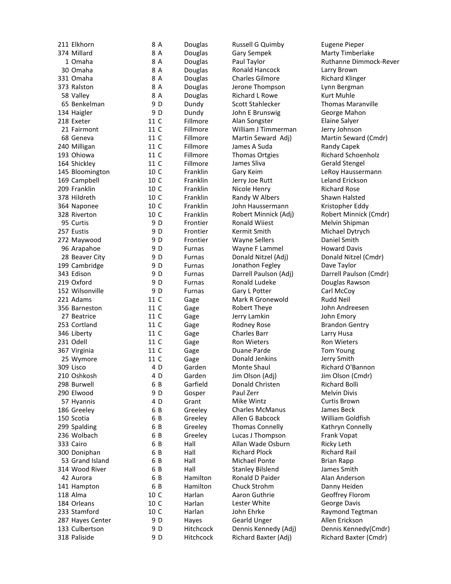| 211 Elkhorn      | 8 A  | Douglas       |
|------------------|------|---------------|
| 374 Millard      | 8 A  | Douglas       |
| 1 Omaha          | 8 A  | Douglas       |
| 30 Omaha         | 8 A  | Douglas       |
| 331 Omaha        | 8 A  | Douglas       |
| 373 Ralston      | 8 A  | Douglas       |
| 58 Valley        | 8 A  | Douglas       |
| 65 Benkelman     | 9 D  | Dundy         |
| 134 Haigler      | 9 D  | Dundy         |
| 218 Exeter       | 11 C | Fillmore      |
| 21 Fairmont      | 11 C | Fillmore      |
|                  |      |               |
| 68 Geneva        | 11 C | Fillmore      |
| 240 Milligan     | 11 C | Fillmore      |
| 193 Ohiowa       | 11 C | Fillmore      |
| 164 Shickley     | 11 C | Fillmore      |
| 145 Bloomington  | 10 C | Franklin      |
| 169 Campbell     | 10 C | Franklin      |
| 209 Franklin     | 10 C | Franklin      |
| 378 Hildreth     | 10 C | Franklin      |
| 364 Naponee      | 10 C | Franklin      |
| 328 Riverton     | 10 C | Franklin      |
| 95 Curtis        | 9 D  | Frontier      |
| 257 Eustis       | 9 D  | Frontier      |
| 272 Maywood      | 9 D  | Frontier      |
| 96 Arapahoe      | 9 D  | <b>Furnas</b> |
| 28 Beaver City   | 9 D  | <b>Furnas</b> |
| 199 Cambridge    | 9 D  | <b>Furnas</b> |
| 343 Edison       | 9 D  | <b>Furnas</b> |
| 219 Oxford       | 9 D  | <b>Furnas</b> |
| 152 Wilsonville  | 9 D  | Furnas        |
| 221 Adams        | 11 C | Gage          |
| 356 Barneston    | 11 C | Gage          |
| 27 Beatrice      | 11 C |               |
| 253 Cortland     | 11 C | Gage          |
|                  |      | Gage          |
| 346 Liberty      | 11 C | Gage          |
| 231 Odell        | 11 C | Gage          |
| 367 Virginia     | 11 C | Gage          |
| 25 Wymore        | 11 C | Gage          |
| 309 Lisco        | 4 D  | Garden        |
| 210 Oshkosh      | 4 D  | Garden        |
| 298 Burwell      | 6 B  | Garfield      |
| 290 Elwood       | 9 D  | Gosper        |
| 57 Hyannis       | 4 D  | Grant         |
| 186 Greeley      | 6 B  | Greeley       |
| 150 Scotia       | 6 B  | Greeley       |
| 299 Spalding     | 6 B  | Greeley       |
| 236 Wolbach      | 6 B  | Greeley       |
| 333 Cairo        | 6 B  | Hall          |
| 300 Doniphan     | 6 B  | Hall          |
| 53 Grand Island  | 6 B  | Hall          |
| 314 Wood River   | 6 B  | Hall          |
| 42 Aurora        | 6 B  | Hamilton      |
| 141 Hampton      | 6 B  | Hamilton      |
| 118 Alma         | 10 C | Harlan        |
| 184 Orleans      | 10 C | Harlan        |
| 233 Stamford     | 10 C | Harlan        |
| 287 Hayes Center | 9 D  | Hayes         |
| 133 Culbertson   | 9 D  | Hitchcock     |
|                  |      |               |
| 318 Paliside     | 9 D  | Hitchcock     |

Russell G Quimby Eugene Pieper Gary Sempek Marty Timberlake Ronald Hancock Larry Brown Charles Gilmore **Richard Klinger** Jerone Thompson Lynn Bergman Richard L Rowe Kurt Muhle Scott Stahlecker Thomas Maranville John E Brunswig George Mahon Alan Songster Elaine Salyer William J Timmerman Jerry Johnson James A Suda Randy Capek Thomas Ortgies Richard Schoenholz James Sliva Gerald Stengel Gary Keim LeRoy Haussermann Jerry Joe Rutt Leland Erickson Nicole Henry Richard Rose Randy W Albers Shawn Halsted John Haussermann Kristopher Eddy Ronald Wiiest Melvin Shipman **Example Transform Michael Dytrych Michael Dytrych Michael Smith Michael Smith Michael Smith Michael Smith Mich**<br>
Daniel Smith Michael Smith Michael Smith Michael Smith Michael Smith Michael Smith Michael Smith Michael Smi Wayne Sellers Wayne F Lammel Howard Davis Donald Nitzel (Adj) Donald Nitzel (Cmdr) Jonathon Fegley Dave Taylor Ronald Ludeke Douglas Rawson Gary L Potter Carl McCoy Mark R Gronewold Rudd Neil Robert Theye **John Andreesen** Jerry Lamkin John Emory Rodney Rose Brandon Gentry Charles Barr Larry Husa Ron Wieters **Ron Wieters** Duane Parde **Tom Young**<br>
Donald Jenkins **Same State Contains** Donald Jenkins Monte Shaul **Richard O'Bannon**<br>Jim Olson (Adj) Jim Olson (Cmdr) Donald Christen Richard Bolli Paul Zerr Melvin Divis **Mike Wintz** Curtis Brown Charles McManus James Beck Allen G Babcock William Goldfish Thomas Connelly Kathryn Connelly Lucas J Thompson Frank Vopat Allan Wade Osburn Ricky Leth Richard Plock Richard Rail Michael Ponte Brian Rapp Stanley Bilslend James Smith Ronald D Paider **Alan Anderson** Chuck Strohm Danny Heiden<br>Aaron Guthrie Geoffrey Floro Lester White George Davis John Ehrke Raymond Tegtman Gearld Unger Allen Erickson

Paul Taylor **Ruthanne Dimmock-Rever** Martin Seward Adj) Martin Seward (Cmdr) Robert Minnick (Adj) Robert Minnick (Cmdr) Darrell Paulson (Adj) Darrell Paulson (Cmdr) Jim Olson (Cmdr) Geoffrey Florom Dennis Kennedy (Adj) Dennis Kennedy (Cmdr) Richard Baxter (Adj) Richard Baxter (Cmdr)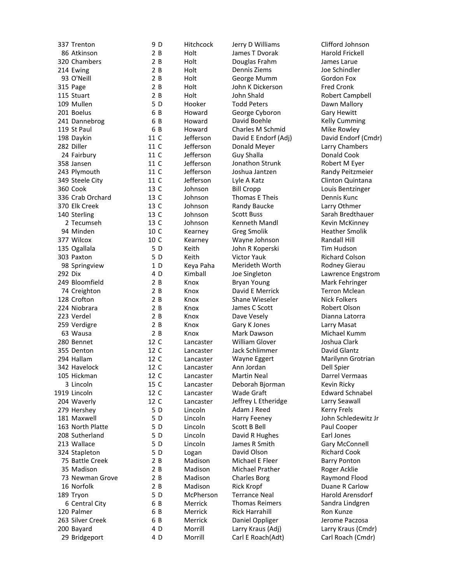|         | 337 Trenton      | 9 D  | Hit         |
|---------|------------------|------|-------------|
|         | 86 Atkinson      | 2B   | Ho          |
|         | 320 Chambers     | 2B   | Ho          |
|         | 214 Ewing        | 2B   | Ho          |
|         | 93 O'Neill       | 2B   | Ho          |
|         | 315 Page         | 2B   | Ho          |
|         | 115 Stuart       | 2B   | Ho          |
|         | 109 Mullen       | 5D   | Ho          |
|         | 201 Boelus       | 6 B  | Ho          |
|         | 241 Dannebrog    | 6 B  | Ho          |
|         | 119 St Paul      | 6 B  | Ho          |
|         | 198 Daykin       | 11 C | Jef         |
|         | 282 Diller       | 11 C | Jef         |
|         | 24 Fairbury      | 11 C | Jef         |
|         | 358 Jansen       | 11 C | Jef         |
|         | 243 Plymouth     | 11 C | Jef         |
|         | 349 Steele City  | 11 C | Jef         |
|         | 360 Cook         | 13 C | Joł         |
|         | 336 Crab Orchard | 13 C | Joł         |
|         | 370 Elk Creek    | 13 C | Joł         |
|         | 140 Sterling     | 13 C | Joł         |
|         | 2 Tecumseh       | 13 C | Joł         |
|         | 94 Minden        | 10 C | Kea         |
|         | 377 Wilcox       | 10 C | Kea         |
|         | 135 Ogallala     | 5 D  | Kei         |
|         | 303 Paxton       | 5 D  | Kei         |
|         | 98 Springview    | 1D   | Key         |
| 292 Dix |                  | 4 D  | Kin         |
|         | 249 Bloomfield   | 2B   | Kn          |
|         | 74 Creighton     | 2B   | Kn          |
|         | 128 Crofton      | 2B   | Kn          |
|         | 224 Niobrara     | 2B   | Kn          |
|         | 223 Verdel       | 2B   | Kn          |
|         | 259 Verdigre     | 2B   | Kn          |
|         | 63 Wausa         | 2 B  | Kn          |
|         | 280 Bennet       | 12 C | Lar         |
|         | 355 Denton       | 12 C | Lar         |
|         | 294 Hallam       | 12 C | Lar         |
|         | 342 Havelock     | 12 C | Lar         |
|         | 105 Hickman      | 12 C | Lar         |
|         | 3 Lincoln        | 15 C | Lar         |
|         | 1919 Lincoln     | 12 C | Lar         |
|         | 204 Waverly      | 12 C | Lar         |
|         | 279 Hershey      | 5 D  | Lin         |
|         | 181 Maxwell      | 5D   | Lin         |
|         | 163 North Platte | 5 D  | Lin         |
|         | 208 Sutherland   | 5 D  | Lin         |
|         | 213 Wallace      | 5 D  | Lin         |
|         | 324 Stapleton    | 5 D  | Log         |
|         | 75 Battle Creek  | 2B   | Ma          |
|         | 35 Madison       | 2 B  | Ma          |
|         | 73 Newman Grove  | 2B   | Μa          |
|         | 16 Norfolk       | 2B   | Μa          |
|         | 189 Tryon        | 5 D  | Mo          |
|         | 6 Central City   | 6 B  | $M\epsilon$ |
|         | 120 Palmer       | 6 B  | Mε          |
|         | 263 Silver Creek | 6 B  | $M\epsilon$ |
|         | 200 Bayard       | 4 D  | Mo          |
|         | 29 Bridgeport    | 4 D  | Mo          |
|         |                  |      |             |

chcock Jerry D Williams Clifford Johnson It James T Dvorak Harold Frickell It **Douglas Frahm** James Larue **It** Dennis Ziems Joe Schindler It George Mumm Gordon Fox B Holt John K Dickerson Fred Cronk It John Shald **Robert Campbell** oker Todd Peters **Dawn Mallory** ward George Cyboron Gary Hewitt ward David Boehle **Kelly Cumming** ward Charles M Schmid Mike Rowley Ferson Donald Meyer **Larry Chambers** Ferson Guy Shalla **Donald Cook** Ferson Jonathon Strunk Robert M Eyer Ferson Joshua Jantzen **Randy Peitzmeier** ferson Lyle A Katz **Clinton Quintana** nson Bill Cropp Louis Bentzinger nnson Thomas E Theis **Dennis Kunc** nson Randy Baucke Larry Othmer nnson Scott Buss Sarah Bredthauer nnson Kenneth Mandl Kevin McKinney arney Greg Smolik Heather Smolik arney **Carney Wayne Johnson** Communism Randall Hill D Keith John R Koperski Tim Hudson D Keith Victor Yauk Richard Colson Merideth Worth Rodney Gierau ox Bryan Young Mark Fehringer ox **David E Merrick** Terron Mclean ox Shane Wieseler Nick Folkers ox James C Scott Robert Olson ox Dave Vesely **Dianna Latorra** ox Gary K Jones **Larry Masat** ox Mark Dawson Michael Kumm ncaster William Glover **Glover** Joshua Clark ncaster Jack Schlimmer **David Glantz** ncaster Wayne Eggert Marilynn Grotrian ncaster Ann Jordan Dell Spier ncaster Martin Neal **Darrel Vermaas** ncaster Deborah Bjorman Kevin Ricky ncaster Wade Graft **Edward Schnabel** ncaster Jeffrey L Etheridge Larry Seawall Icoln Adam J Reed Kerry Frels Icoln Harry Feeney John Schledewitz Jr **Coln** Scott B Bell **Paul Cooper** D Lincoln David R Hughes Earl Jones coln James R Smith Gary McConnell gan David Olson **Richard Cook** adison Michael E Fleer Barry Ponton adison Michael Prather Roger Acklie<br>Adison Charles Borg Raymond Flo Charles Borg Raymond Flood adison Rick Kropf **Duane R Carlow** Pherson Terrance Neal Harold Arensdorf errick Thomas Reimers Sandra Lindgren errick Rick Harrahill Ron Kunze errick Daniel Oppliger Derome Paczosa prrill Larry Kraus (Adj) Larry Kraus (Cmdr)

Ferson David E Endorf (Adj) David Endorf (Cmdr) nball Joe Singleton Lawrence Engstrom D Morrill Carl E Roach(Adt) Carl Roach (Cmdr)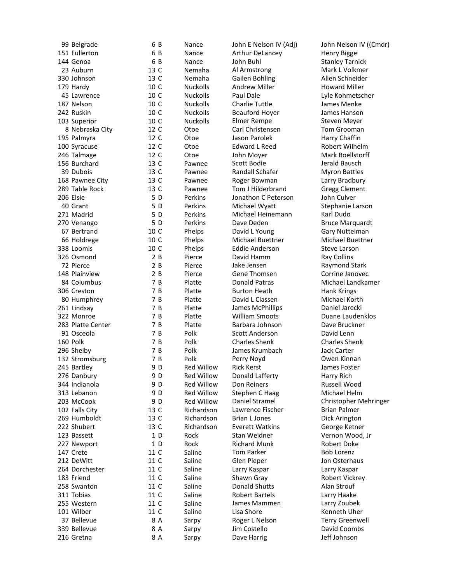| 99 Belgrade       | 6 B    | Nano              |
|-------------------|--------|-------------------|
| 151 Fullerton     | 6 B    | Nand              |
| 144 Genoa         | 6 B    | Nano              |
| 23 Auburn         | 13 C   | Nem               |
| 330 Johnson       | 13 C   | Nem               |
| 179 Hardy         | 10 C   | Nuck              |
| 45 Lawrence       | 10 C   | Nuck              |
| 187 Nelson        | 10 C   | Nuck              |
| 242 Ruskin        | 10 C   | Nuck              |
| 103 Superior      | 10 C   | Nuck              |
| 8 Nebraska City   | 12 C   | Otoe              |
| 195 Palmyra       | 12 C   | Otoe              |
|                   | 12 C   |                   |
| 100 Syracuse      | 12 C   | Otoe              |
| 246 Talmage       |        | Otoe              |
| 156 Burchard      | 13 C   | Pawr              |
| 39 Dubois         | 13 C   | Pawr              |
| 168 Pawnee City   | 13 C   | Pawr              |
| 289 Table Rock    | 13 C   | Pawr              |
| 206 Elsie         | 5 D    | Perki             |
| 40 Grant          | 5 D    | Perki             |
| 271 Madrid        | 5 D    | Perk              |
| 270 Venango       | 5 D    | Perki             |
| 67 Bertrand       | 10 C   | Phel              |
| 66 Holdrege       | 10 C   | Phel              |
| 338 Loomis        | 10 C   | Phel              |
| 326 Osmond        | 2B     | Pierc             |
| 72 Pierce         | 2B     | Pierc             |
| 148 Plainview     | 2B     | Pierc             |
| 84 Columbus       | 7B     | Platt             |
| 306 Creston       | 7<br>B | Platt             |
| 80 Humphrey       | 7<br>B | Platt             |
| 261 Lindsay       | 7B     | Platt             |
| 322 Monroe        | 7 B    | Platt             |
| 283 Platte Center | 7B     | Platt             |
| 91 Osceola        | 7 B    | Polk              |
| 160 Polk          | 7B     |                   |
|                   | 7 B    | Polk              |
| 296 Shelby        |        | Polk              |
| 132 Stromsburg    | 7 B    | Polk              |
| 245 Bartley       | 9 D    | Red               |
| 276 Danbury       | 9 D    | Red               |
| 344 Indianola     | 9 D    | Red '             |
| 313 Lebanon       | 9 D    | Red               |
| 203 McCook        | 9 D    | Red               |
| 102 Falls City    | 13 C   | Richa             |
| 269 Humboldt      | 13 C   | Richa             |
| 222 Shubert       | 13 C   | Richa             |
| 123 Bassett       | 1D     | Rock              |
| 227 Newport       | 1D     | Rock              |
| 147 Crete         | 11 C   | Salin             |
| 212 DeWitt        | 11 C   | Salin             |
| 264 Dorchester    | 11 C   | Salin             |
| 183 Friend        | 11 C   | Salin             |
| 258 Swanton       | 11 C   | Salin             |
| 311 Tobias        | 11 C   | Salin             |
| 255 Western       | 11 C   | Salin             |
| 101 Wilber        | 11 C   | Salin             |
| 37 Bellevue       | 8 A    |                   |
|                   | 8 A    | Sarp <sup>®</sup> |
| 339 Bellevue      |        | Sarp <sup>®</sup> |
| 216 Gretna        | 8 A    | Sarp <sup>®</sup> |

ce Arthur DeLancey **Henry Bigge Example 3** Nance John Buhl Stanley Tarnick aha Al Armstrong Mark L Volkmer aha Gailen Bohling **Allen Schneider** colls andrew Miller **Andrew Miller** Howard Miller colls Paul Dale **Lyle Kohmetscher** colls Charlie Tuttle Colls and State States Menke C Nuckolls Beauford Hoyer James Hanson Elmer Rempe Steven Meyer Carl Christensen Tom Grooman Jason Parolek Harry Chaffin Edward L Reed Robert Wilhelm John Moyer Mark Boellstorff nee Scott Bodie **Graussen Scott Bodie** Jerald Bausch nee Randall Schafer Myron Battles nee Roger Bowman Larry Bradbury nee Tom J Hilderbrand Gregg Clement ins Jonathon C Peterson John Culver ins Michael Wyatt Stephanie Larson<br>ins Michael Heinemann Karl Dudo ins Michael Heinemann<br>ins Dave Deden ins Dave Deden Bruce Marquardt ps David L Young Gary Nuttelman ps Michael Buettner Michael Buettner ps **Eddie Anderson** Steve Larson e Bavid Hamm Ray Collins e Bierce Jake Jensen Raymond Stark e Gene Thomsen Corrine Janovec e Bonald Patras **Michael Landkamer** e Burton Heath Hank Krings B Platte David L Classen Michael Korth B Platte James McPhillips e **Black William Smoots** Duane Laudenklos e Barbara Johnson Dave Bruckner Scott Anderson **David Lenn**<br>
Charles Shenk Charles Shenk Charles Shenk James Krumbach Jack Carter Perry Noyd **Owen Kinnan** Willow Rick Kerst **Network** James Foster Willow Donald Lafferty **Example 20** Harry Rich Willow Don Reiners **Russell Wood** Willow Stephen C Haag Michael Helm<br>Willow Daniel Stramel Michristopher M ardson Lawrence Fischer **Brian Palmer** ardson Brian L Jones **Dick Arington** ardson Everett Watkins George Ketner Stan Weidner Vernon Wood, Jr Richard Munk Robert Doke e Tom Parker Bob Lorenz e Glen Pieper Solon Osterhaus e Larry Kaspar **Larry Kaspar** e Shawn Gray **Robert Vickrey** e **Conald Shutts Alan Strouf** e Chartels Chartels Charry Haake e James Mammen Larry Zoubek e Cisa Shore **Kenneth Uher** y Boger L Nelson Terry Greenwell y Jim Costello David Coombs

ce John E Nelson IV (Adj) John Nelson IV ((Cmdr) Daniel Stramel Christopher Mehringer y Dave Harrig Dave Harrig Jeff Johnson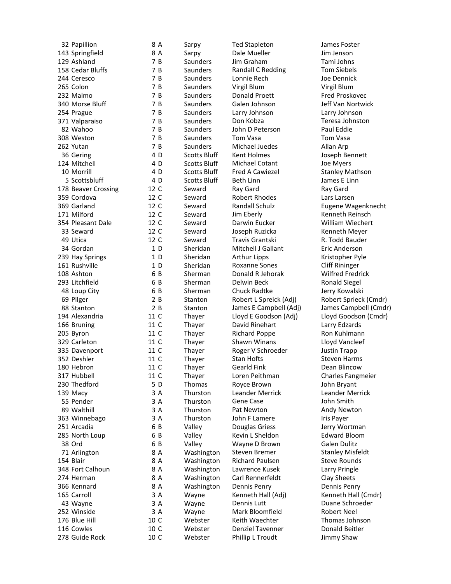| 32 Papillion                     | 8 A  | Sarpy               | <b>Ted Stapleton</b>    | James Foster          |
|----------------------------------|------|---------------------|-------------------------|-----------------------|
| 143 Springfield                  | 8 A  | Sarpy               | Dale Mueller            | Jim Jenson            |
| 129 Ashland                      | 7 B  | Saunders            | Jim Graham              | Tami Johns            |
| 158 Cedar Bluffs                 | 7 B  | Saunders            | Randall C Redding       | <b>Tom Siebels</b>    |
| 244 Ceresco                      | 7 B  | Saunders            | Lonnie Rech             | Joe Dennick           |
| 265 Colon                        | 7 B  | Saunders            | Virgil Blum             | Virgil Blum           |
| 232 Malmo                        | 7 B  | Saunders            | Donald Proett           | <b>Fred Proskove</b>  |
| 340 Morse Bluff                  | 7 B  | <b>Saunders</b>     | Galen Johnson           | Jeff Van Nortv        |
| 254 Prague                       | 7 B  | <b>Saunders</b>     | Larry Johnson           | Larry Johnson         |
| 371 Valparaiso                   | 7 B  | Saunders            | Don Kobza               | Teresa Johnst         |
| 82 Wahoo                         | 7 B  | <b>Saunders</b>     | John D Peterson         | Paul Eddie            |
| 308 Weston                       | 7 B  | <b>Saunders</b>     | Tom Vasa                | Tom Vasa              |
| 262 Yutan                        | 7 B  | Saunders            | Michael Juedes          | Allan Arp             |
| 36 Gering                        | 4 D  | <b>Scotts Bluff</b> | Kent Holmes             | Joseph Benne          |
| 124 Mitchell                     | 4 D  | <b>Scotts Bluff</b> | <b>Michael Cotant</b>   | Joe Myers             |
| 10 Morrill                       | 4 D  | <b>Scotts Bluff</b> | Fred A Cawiezel         | <b>Stanley Maths</b>  |
| 5 Scottsbluff                    | 4 D  | <b>Scotts Bluff</b> | <b>Beth Linn</b>        | James E Linn          |
| 178 Beaver Crossing              | 12 C | Seward              | Ray Gard                | Ray Gard              |
| 359 Cordova                      | 12 C | Seward              | <b>Robert Rhodes</b>    | Lars Larsen           |
| 369 Garland                      | 12 C | Seward              | Randall Schulz          | Eugene Wage           |
| 171 Milford                      | 12 C | Seward              | Jim Eberly              | Kenneth Reins         |
| 354 Pleasant Dale                | 12 C | Seward              | Darwin Eucker           | <b>William Wiech</b>  |
| 33 Seward                        | 12 C | Seward              | Joseph Ruzicka          | Kenneth Mey           |
| 49 Utica                         | 12 C | Seward              | Travis Grantski         | R. Todd Baude         |
| 34 Gordan                        | 1D   | Sheridan            | Mitchell J Gallant      | Eric Anderson         |
|                                  | 1 D  | Sheridan            | <b>Arthur Lipps</b>     | Kristopher Pyl        |
| 239 Hay Springs<br>161 Rushville | 1 D  | Sheridan            | <b>Roxanne Sones</b>    | <b>Cliff Rininger</b> |
| 108 Ashton                       | 6 B  |                     | Donald R Jehorak        |                       |
|                                  |      | Sherman             |                         | Wilfred Fredri        |
| 293 Litchfield                   | 6 B  | Sherman             | Delwin Beck             | <b>Ronald Siegel</b>  |
| 48 Loup City                     | 6 B  | Sherman             | Chuck Radtke            | Jerry Kowalski        |
| 69 Pilger                        | 2 B  | Stanton             | Robert L Spreick (Adj)  | Robert Spriecl        |
| 88 Stanton                       | 2 B  | Stanton             | James E Campbell (Adj)  | James Campb           |
| 194 Alexandria                   | 11 C | Thayer              | Lloyd E Goodson (Adj)   | Lloyd Goodso          |
| 166 Bruning                      | 11 C | Thayer              | David Rinehart          | Larry Edzards         |
| 205 Byron                        | 11 C | Thayer              | <b>Richard Poppe</b>    | Ron Kuhlmanı          |
| 329 Carleton                     | 11 C | Thayer              | Shawn Winans            | Lloyd Vanclee         |
| 335 Davenport                    | 11 C | Thayer              | Roger V Schroeder       | Justin Trapp          |
| 352 Deshler                      | 11 C | Thayer              | Stan Hofts              | <b>Steven Harms</b>   |
| 180 Hebron                       | 11 C | Thayer              | <b>Gearld Fink</b>      | Dean Blincow          |
| 317 Hubbell                      | 11 C | Thayer              | Loren Peithman          | Charles Fangn         |
| 230 Thedford                     | 5 D  | Thomas              | Royce Brown             | John Bryant           |
| 139 Macy                         | 3 A  | Thurston            | <b>Leander Merrick</b>  | <b>Leander Merr</b>   |
| 55 Pender                        | 3 A  | Thurston            | Gene Case               | John Smith            |
| 89 Walthill                      | 3 A  | Thurston            | Pat Newton              | Andy Newton           |
| 363 Winnebago                    | 3 A  | Thurston            | John F Lamere           | Iris Payer            |
| 251 Arcadia                      | 6 B  | Valley              | Douglas Griess          | Jerry Wortma          |
| 285 North Loup                   | 6 B  | Valley              | Kevin L Sheldon         | <b>Edward Bloon</b>   |
| 38 Ord                           | 6 B  | Valley              | Wayne D Brown           | Galen Dulitz          |
| 71 Arlington                     | 8 A  | Washington          | Steven Bremer           | <b>Stanley Misfel</b> |
| 154 Blair                        | 8 A  | Washington          | Richard Paulsen         | <b>Steve Rounds</b>   |
| 348 Fort Calhoun                 | 8 A  | Washington          | Lawrence Kusek          | Larry Pringle         |
| 274 Herman                       | 8 A  | Washington          | Carl Rennerfeldt        | Clay Sheets           |
| 366 Kennard                      | 8 A  | Washington          | Dennis Penry            | Dennis Penry          |
| 165 Carroll                      | 3 A  | Wayne               | Kenneth Hall (Adj)      | Kenneth Hall          |
| 43 Wayne                         | 3 A  | Wayne               | Dennis Lutt             | Duane Schroe          |
| 252 Winside                      | 3 A  | Wayne               | Mark Bloomfield         | Robert Neel           |
| 176 Blue Hill                    | 10 C | Webster             | Keith Waechter          | Thomas Johns          |
| 116 Cowles                       | 10 C | Webster             | <b>Denziel Tavenner</b> | Donald Beitler        |
| 278 Guide Rock                   | 10 C | Webster             | Phillip L Troudt        | Jimmy Shaw            |
|                                  |      |                     |                         |                       |

Ted Stapleton and James Foster ders Jim Graham Tami Johns ders **Randall C Redding Tom Siebels** ders **Donald Proett** Fred Proskovec ders Galen Johnson Jeff Van Nortwick 254 Prague 7 B Saunders Larry Johnson Larry Johnson ders John D Peterson ders Michael Juedes Allan Arp s Bluff Kent Holmes **Bluff** Kent Holmes Joseph Bennett s Bluff Michael Cotant Joe Myers s Bluff Fred A Cawiezel Stanley Mathson 5 Bluff Beth Linn James E Linn and a 20 Robert Rhodes Cordova Lars Larsen **171 Jim Eberly Communist Communist Communist Communist Communist Communist Communist Communist Communist Communist Communist Communist Communist Communist Communist Communist Communist Communist Communist Communist Commun** rd Darwin Eucker William Wiechert 33 Seph Ruzicka Kenneth Meyer<br>13 Semant Travis Grantski Kenneth Meyer<br>13 Semant Render Standard Render Travis Grantski R. Todd Bauder dan Mitchell J Gallant Eric Anderson dan Arthur Lipps 1 - Kristopher Pyle dan Roxanne Sones Cliff Rininger nan 108 Donald R Jehorak 1988 Wilfred Fredrick nan Delwin Beck Ronald Siegel nan Chuck Radtke **Interpretata Sherman** Chuck Radtke er **166 Bruning 11 David Rinehart** Larry Edzards er and Richard Poppe Ron Kuhlmann er 3hawn Winans Cloyd Vancleef Example 11 Davenport 13 Davenport 13 September 2013 and the United States International Present and Trapport N er 180 Gearld Fink 11 Dean Blincow Extempore Loren Peithman Charles Fangmeier as Royce Brown John Bryant ton Leander Merrick Leander Merrick 89 Balthill 3 Andy Newton Andy Newton 353 Iohn F Lamere **1988** Iris Payer Douglas Griess Jerry Wortman Kevin L Sheldon Edward Bloom Wayne D Brown Galen Dulitz ington Steven Bremer Stanley Misfeldt ington Richard Paulsen Steve Rounds ington Lawrence Kusek Larry Pringle ington Carl Rennerfeldt Clay Sheets ington Dennis Penry **Dennis Penry Dennis Penry** 165 Menneth Hall (Adj) Kenneth Hall (Cmdr) e Bennis Lutt Duane Schroeder e 3 Mark Bloomfield 3 A Robert Neel ter 176 Blue Keith Waechter **Frank 10 C Thomas Johnson** 116 Cowles 10 C Webster Denziel Tavenner Donald Beitler

Teresa Johnston<br>Paul Eddie 369 Garland 12 C Seward Randall Schulz Eugene Wagenknecht on Robert L Spreick (Adj) Robert Sprieck (Cmdr) on James E Campbell (Adj) James Campbell (Cmdr) 194 Iloyd E Goodson (Adj) Lloyd Goodson (Cmdr) 278 The Phillip L Troudt Troudt Communist Report Shaw